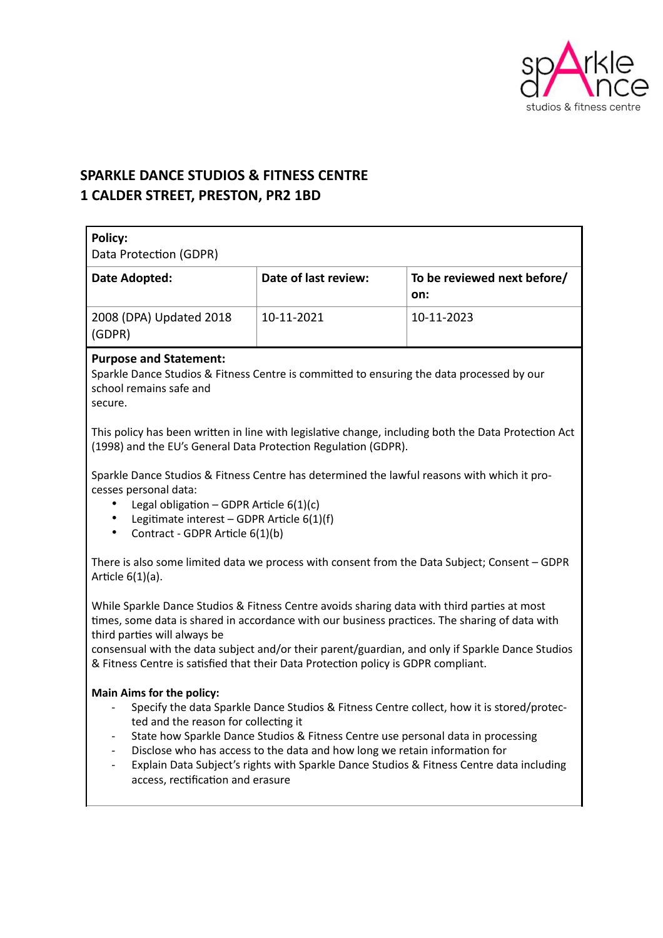

# **SPARKLE DANCE STUDIOS & FITNESS CENTRE 1 CALDER STREET, PRESTON, PR2 1BD**

| <b>Policy:</b>                                                                                                                                                                                                                                                                                                                                                                                                                                                                                                                                                                           |                      |                                    |
|------------------------------------------------------------------------------------------------------------------------------------------------------------------------------------------------------------------------------------------------------------------------------------------------------------------------------------------------------------------------------------------------------------------------------------------------------------------------------------------------------------------------------------------------------------------------------------------|----------------------|------------------------------------|
| Data Protection (GDPR)                                                                                                                                                                                                                                                                                                                                                                                                                                                                                                                                                                   |                      |                                    |
| Date Adopted:                                                                                                                                                                                                                                                                                                                                                                                                                                                                                                                                                                            | Date of last review: | To be reviewed next before/<br>on: |
| 2008 (DPA) Updated 2018<br>(GDPR)                                                                                                                                                                                                                                                                                                                                                                                                                                                                                                                                                        | 10-11-2021           | 10-11-2023                         |
| <b>Purpose and Statement:</b><br>Sparkle Dance Studios & Fitness Centre is committed to ensuring the data processed by our<br>school remains safe and<br>secure.                                                                                                                                                                                                                                                                                                                                                                                                                         |                      |                                    |
| This policy has been written in line with legislative change, including both the Data Protection Act<br>(1998) and the EU's General Data Protection Regulation (GDPR).                                                                                                                                                                                                                                                                                                                                                                                                                   |                      |                                    |
| Sparkle Dance Studios & Fitness Centre has determined the lawful reasons with which it pro-<br>cesses personal data:<br>Legal obligation - GDPR Article $6(1)(c)$<br>Legitimate interest - GDPR Article 6(1)(f)<br>Contract - GDPR Article 6(1)(b)<br>$\bullet$                                                                                                                                                                                                                                                                                                                          |                      |                                    |
| There is also some limited data we process with consent from the Data Subject; Consent - GDPR<br>Article $6(1)(a)$ .                                                                                                                                                                                                                                                                                                                                                                                                                                                                     |                      |                                    |
| While Sparkle Dance Studios & Fitness Centre avoids sharing data with third parties at most<br>times, some data is shared in accordance with our business practices. The sharing of data with<br>third parties will always be<br>consensual with the data subject and/or their parent/guardian, and only if Sparkle Dance Studios<br>& Fitness Centre is satisfied that their Data Protection policy is GDPR compliant.                                                                                                                                                                  |                      |                                    |
| <b>Main Aims for the policy:</b><br>Specify the data Sparkle Dance Studios & Fitness Centre collect, how it is stored/protec-<br>$\overline{\phantom{a}}$<br>ted and the reason for collecting it<br>State how Sparkle Dance Studios & Fitness Centre use personal data in processing<br>$\overline{\phantom{a}}$<br>Disclose who has access to the data and how long we retain information for<br>$\overline{\phantom{a}}$<br>Explain Data Subject's rights with Sparkle Dance Studios & Fitness Centre data including<br>$\overline{\phantom{a}}$<br>access, rectification and erasure |                      |                                    |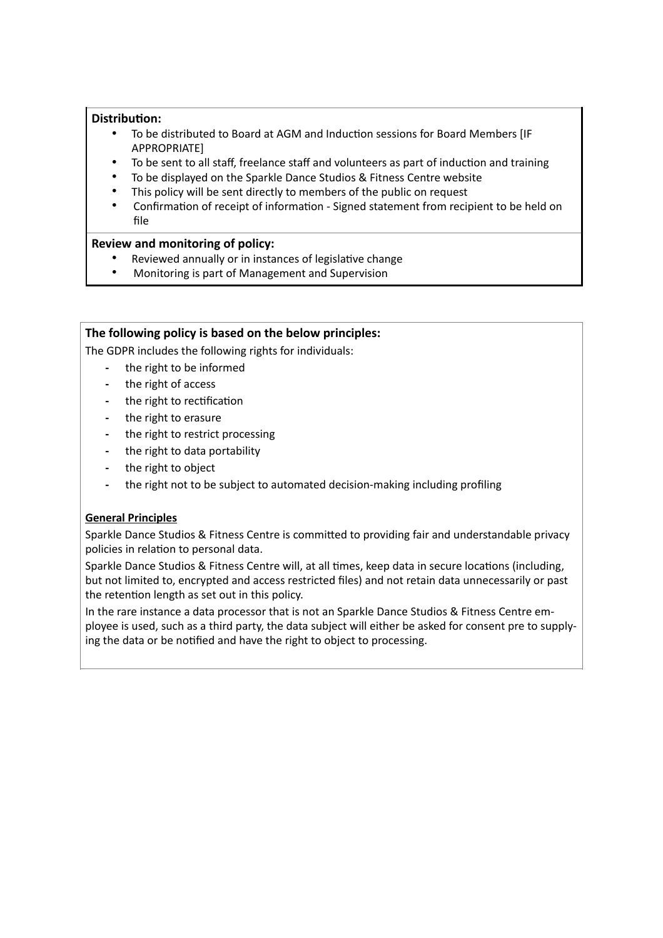#### **Distribution:**

- To be distributed to Board at AGM and Induction sessions for Board Members [IF APPROPRIATE]
- To be sent to all staff, freelance staff and volunteers as part of induction and training
- To be displayed on the Sparkle Dance Studios & Fitness Centre website
- This policy will be sent directly to members of the public on request
- Confirmation of receipt of information Signed statement from recipient to be held on file

#### **Review and monitoring of policy:**

- Reviewed annually or in instances of legislative change
- Monitoring is part of Management and Supervision

#### **The following policy is based on the below principles:**

The GDPR includes the following rights for individuals:

- **-** the right to be informed
- **-** the right of access
- **-** the right to rectification
- **-** the right to erasure
- **-** the right to restrict processing
- **-** the right to data portability
- **-** the right to object
- **-** the right not to be subject to automated decision-making including profiling

# **General Principles**

Sparkle Dance Studios & Fitness Centre is committed to providing fair and understandable privacy policies in relation to personal data.

Sparkle Dance Studios & Fitness Centre will, at all times, keep data in secure locations (including, but not limited to, encrypted and access restricted files) and not retain data unnecessarily or past the retention length as set out in this policy.

In the rare instance a data processor that is not an Sparkle Dance Studios & Fitness Centre employee is used, such as a third party, the data subject will either be asked for consent pre to supplying the data or be notified and have the right to object to processing.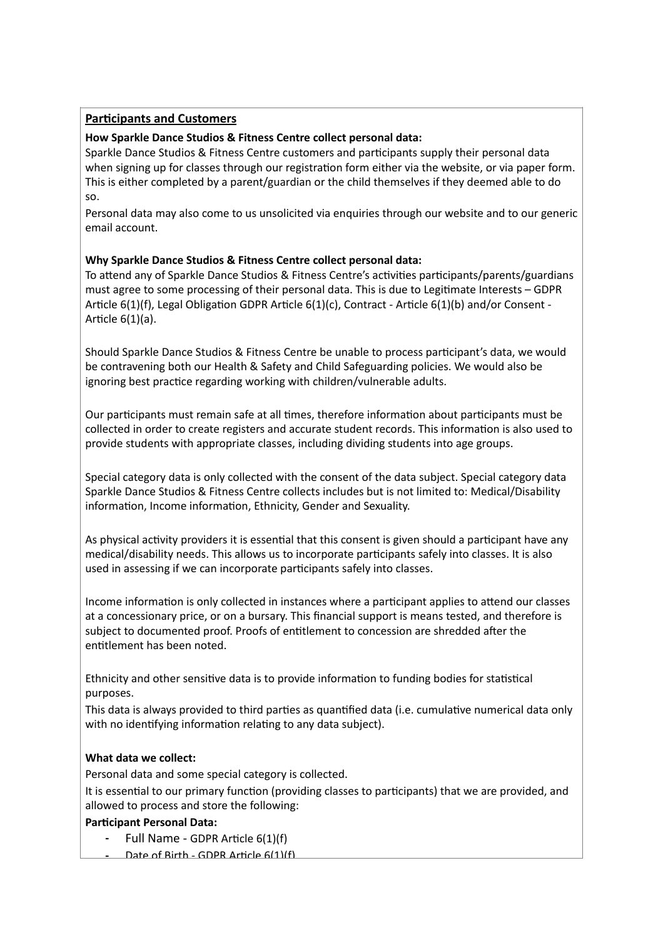# **Participants and Customers**

# **How Sparkle Dance Studios & Fitness Centre collect personal data:**

Sparkle Dance Studios & Fitness Centre customers and participants supply their personal data when signing up for classes through our registration form either via the website, or via paper form. This is either completed by a parent/guardian or the child themselves if they deemed able to do so.

Personal data may also come to us unsolicited via enquiries through our website and to our generic email account.

# **Why Sparkle Dance Studios & Fitness Centre collect personal data:**

To attend any of Sparkle Dance Studios & Fitness Centre's activities participants/parents/guardians must agree to some processing of their personal data. This is due to Legitimate Interests – GDPR Article 6(1)(f), Legal Obligation GDPR Article 6(1)(c), Contract - Article 6(1)(b) and/or Consent - Article 6(1)(a).

Should Sparkle Dance Studios & Fitness Centre be unable to process participant's data, we would be contravening both our Health & Safety and Child Safeguarding policies. We would also be ignoring best practice regarding working with children/vulnerable adults.

Our participants must remain safe at all times, therefore information about participants must be collected in order to create registers and accurate student records. This information is also used to provide students with appropriate classes, including dividing students into age groups.

Special category data is only collected with the consent of the data subject. Special category data Sparkle Dance Studios & Fitness Centre collects includes but is not limited to: Medical/Disability information, Income information, Ethnicity, Gender and Sexuality.

As physical activity providers it is essential that this consent is given should a participant have any medical/disability needs. This allows us to incorporate participants safely into classes. It is also used in assessing if we can incorporate participants safely into classes.

Income information is only collected in instances where a participant applies to attend our classes at a concessionary price, or on a bursary. This financial support is means tested, and therefore is subject to documented proof. Proofs of entitlement to concession are shredded after the entitlement has been noted.

Ethnicity and other sensitive data is to provide information to funding bodies for statistical purposes.

This data is always provided to third parties as quantified data (i.e. cumulative numerical data only with no identifying information relating to any data subject).

# **What data we collect:**

Personal data and some special category is collected.

It is essential to our primary function (providing classes to participants) that we are provided, and allowed to process and store the following:

# **Participant Personal Data:**

- **-** Full Name GDPR Article 6(1)(f)
- **-** Date of Birth GDPR Article 6(1)(f)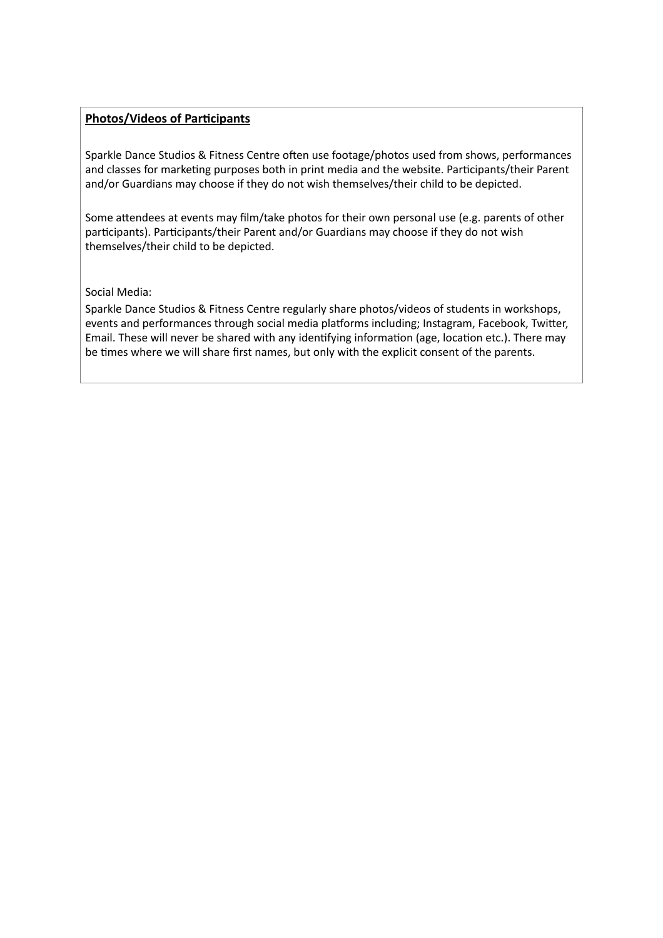### **Photos/Videos of Participants**

Sparkle Dance Studios & Fitness Centre often use footage/photos used from shows, performances and classes for marketing purposes both in print media and the website. Participants/their Parent and/or Guardians may choose if they do not wish themselves/their child to be depicted.

Some attendees at events may film/take photos for their own personal use (e.g. parents of other participants). Participants/their Parent and/or Guardians may choose if they do not wish themselves/their child to be depicted.

#### Social Media:

Sparkle Dance Studios & Fitness Centre regularly share photos/videos of students in workshops, events and performances through social media platforms including; Instagram, Facebook, Twitter, Email. These will never be shared with any identifying information (age, location etc.). There may be times where we will share first names, but only with the explicit consent of the parents.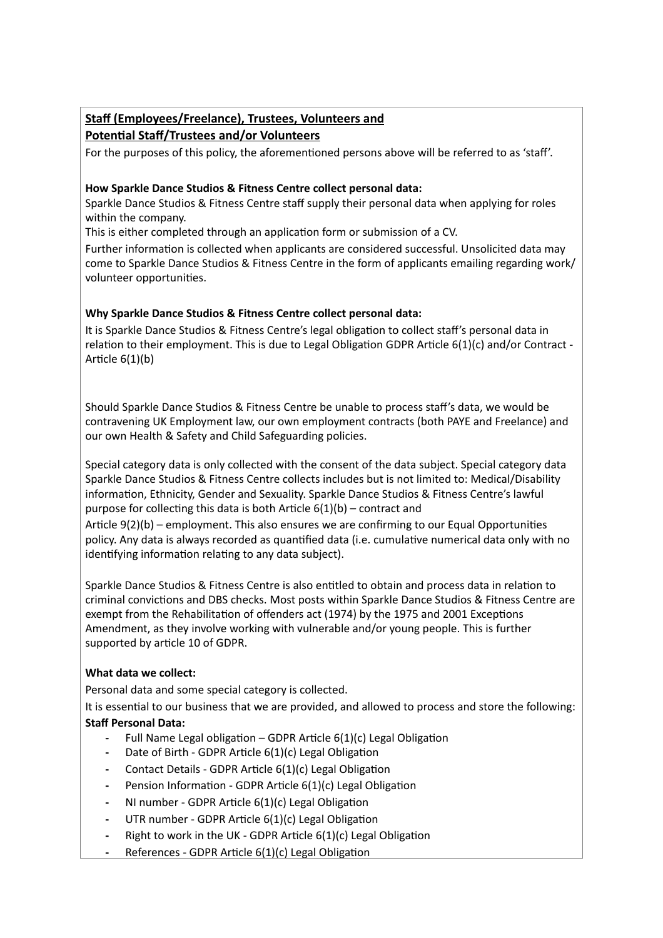# **Staff (Employees/Freelance), Trustees, Volunteers and Potential Staff/Trustees and/or Volunteers**

For the purposes of this policy, the aforementioned persons above will be referred to as 'staff'.

#### **How Sparkle Dance Studios & Fitness Centre collect personal data:**

Sparkle Dance Studios & Fitness Centre staff supply their personal data when applying for roles within the company.

This is either completed through an application form or submission of a CV.

Further information is collected when applicants are considered successful. Unsolicited data may come to Sparkle Dance Studios & Fitness Centre in the form of applicants emailing regarding work/ volunteer opportunities.

# **Why Sparkle Dance Studios & Fitness Centre collect personal data:**

It is Sparkle Dance Studios & Fitness Centre's legal obligation to collect staff's personal data in relation to their employment. This is due to Legal Obligation GDPR Article 6(1)(c) and/or Contract - Article 6(1)(b)

Should Sparkle Dance Studios & Fitness Centre be unable to process staff's data, we would be contravening UK Employment law, our own employment contracts (both PAYE and Freelance) and our own Health & Safety and Child Safeguarding policies.

Special category data is only collected with the consent of the data subject. Special category data Sparkle Dance Studios & Fitness Centre collects includes but is not limited to: Medical/Disability information, Ethnicity, Gender and Sexuality. Sparkle Dance Studios & Fitness Centre's lawful purpose for collecting this data is both Article  $6(1)(b)$  – contract and

Article 9(2)(b) – employment. This also ensures we are confirming to our Equal Opportunities policy. Any data is always recorded as quantified data (i.e. cumulative numerical data only with no identifying information relating to any data subject).

Sparkle Dance Studios & Fitness Centre is also entitled to obtain and process data in relation to criminal convictions and DBS checks. Most posts within Sparkle Dance Studios & Fitness Centre are exempt from the Rehabilitation of offenders act (1974) by the 1975 and 2001 Exceptions Amendment, as they involve working with vulnerable and/or young people. This is further supported by article 10 of GDPR.

# **What data we collect:**

Personal data and some special category is collected.

It is essential to our business that we are provided, and allowed to process and store the following: **Staff Personal Data:**

- **-** Full Name Legal obligation GDPR Article 6(1)(c) Legal Obligation
- **-** Date of Birth GDPR Article 6(1)(c) Legal Obligation
- **-** Contact Details GDPR Article 6(1)(c) Legal Obligation
- **-** Pension Information GDPR Article 6(1)(c) Legal Obligation
- **-** NI number GDPR Article 6(1)(c) Legal Obligation
- **-** UTR number GDPR Article 6(1)(c) Legal Obligation
- **-** Right to work in the UK GDPR Article 6(1)(c) Legal Obligation
- **-** References GDPR Article 6(1)(c) Legal Obligation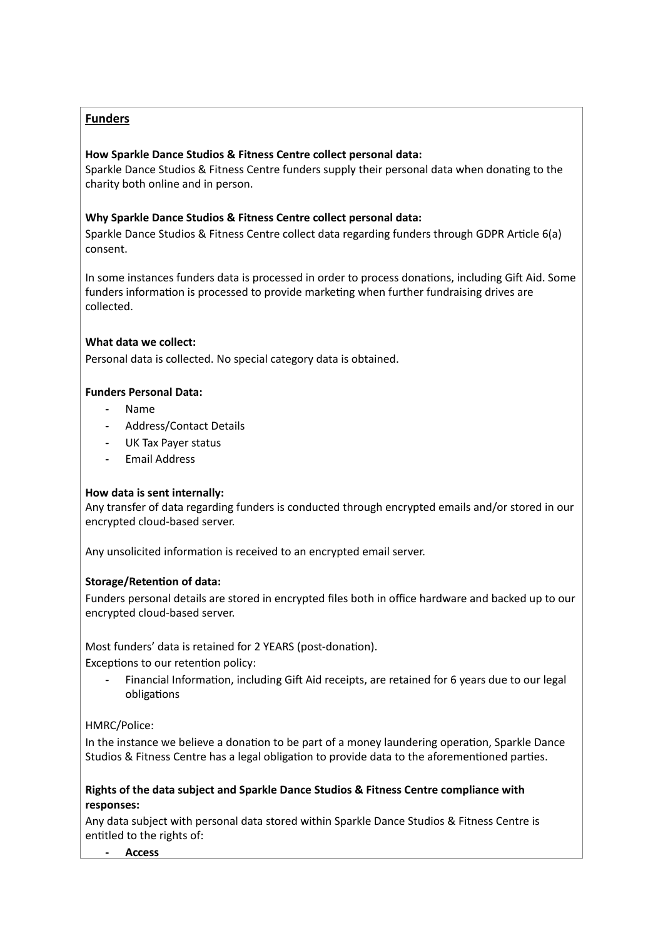# **Funders**

#### **How Sparkle Dance Studios & Fitness Centre collect personal data:**

Sparkle Dance Studios & Fitness Centre funders supply their personal data when donating to the charity both online and in person.

#### **Why Sparkle Dance Studios & Fitness Centre collect personal data:**

Sparkle Dance Studios & Fitness Centre collect data regarding funders through GDPR Article 6(a) consent.

In some instances funders data is processed in order to process donations, including Gift Aid. Some funders information is processed to provide marketing when further fundraising drives are collected.

#### **What data we collect:**

Personal data is collected. No special category data is obtained.

#### **Funders Personal Data:**

- **-** Name
- **-** Address/Contact Details
- **-** UK Tax Payer status
- **-** Email Address

#### **How data is sent internally:**

Any transfer of data regarding funders is conducted through encrypted emails and/or stored in our encrypted cloud-based server.

Any unsolicited information is received to an encrypted email server.

# **Storage/Retention of data:**

Funders personal details are stored in encrypted files both in office hardware and backed up to our encrypted cloud-based server.

Most funders' data is retained for 2 YEARS (post-donation).

Exceptions to our retention policy:

**-** Financial Information, including Gift Aid receipts, are retained for 6 years due to our legal obligations

# HMRC/Police:

In the instance we believe a donation to be part of a money laundering operation, Sparkle Dance Studios & Fitness Centre has a legal obligation to provide data to the aforementioned parties.

#### **Rights of the data subject and Sparkle Dance Studios & Fitness Centre compliance with responses:**

Any data subject with personal data stored within Sparkle Dance Studios & Fitness Centre is entitled to the rights of:

**- Access**